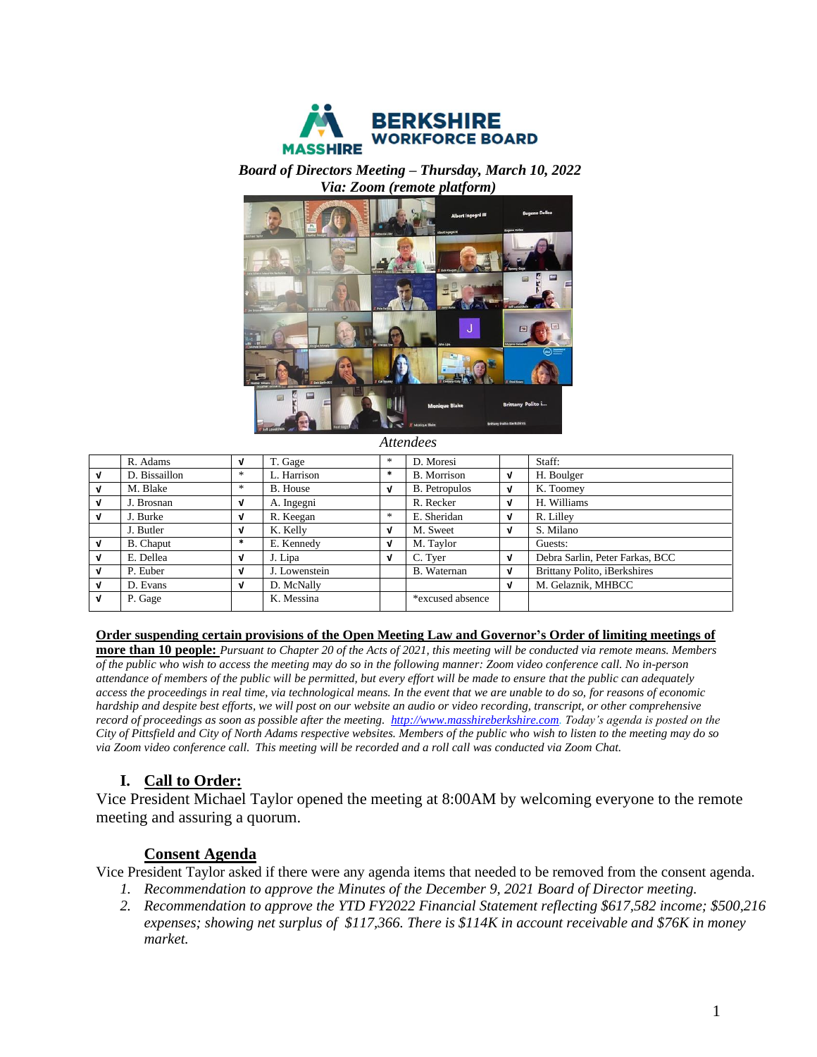

### *Board of Directors Meeting – Thursday, March 10, 2022 Via: Zoom (remote platform)*



*Attendees*

|              | R. Adams         | V      | T. Gage       | $*$    | D. Moresi            |   | Staff:                          |
|--------------|------------------|--------|---------------|--------|----------------------|---|---------------------------------|
| v            | D. Bissaillon    | $\ast$ | L. Harrison   | $\ast$ | <b>B.</b> Morrison   | V | H. Boulger                      |
| v            | M. Blake         | $*$    | B. House      | V      | <b>B.</b> Petropulos | V | K. Toomey                       |
| V            | J. Brosnan       | V      | A. Ingegni    |        | R. Recker            | V | H. Williams                     |
| v            | J. Burke         | V      | R. Keegan     | $*$    | E. Sheridan          | V | R. Lilley                       |
|              | J. Butler        | J      | K. Kelly      | V      | M. Sweet             | V | S. Milano                       |
|              | <b>B.</b> Chaput | $\ast$ | E. Kennedy    | V      | M. Taylor            |   | Guests:                         |
| V            | E. Dellea        | V      | J. Lipa       | V      | C. Tyer              | V | Debra Sarlin, Peter Farkas, BCC |
| J            | P. Euber         | J      | J. Lowenstein |        | B. Waternan          | V | Brittany Polito, iBerkshires    |
| v            | D. Evans         | J      | D. McNally    |        |                      | V | M. Gelaznik, MHBCC              |
| $\mathbf{v}$ | P. Gage          |        | K. Messina    |        | *excused absence     |   |                                 |

#### **Order suspending certain provisions of the Open Meeting Law and Governor's Order of limiting meetings of**

**more than 10 people:** *Pursuant to Chapter 20 of the Acts of 2021, this meeting will be conducted via remote means. Members of the public who wish to access the meeting may do so in the following manner: Zoom video conference call. No in-person attendance of members of the public will be permitted, but every effort will be made to ensure that the public can adequately access the proceedings in real time, via technological means. In the event that we are unable to do so, for reasons of economic hardship and despite best efforts, we will post on our website an audio or video recording, transcript, or other comprehensive record of proceedings as soon as possible after the meeting. [http://www.masshireberkshire.com.](http://www.masshireberkshire.com/) Today's agenda is posted on the City of Pittsfield and City of North Adams respective websites. Members of the public who wish to listen to the meeting may do so via Zoom video conference call. This meeting will be recorded and a roll call was conducted via Zoom Chat.* 

## **I. Call to Order:**

Vice President Michael Taylor opened the meeting at 8:00AM by welcoming everyone to the remote meeting and assuring a quorum.

### **Consent Agenda**

Vice President Taylor asked if there were any agenda items that needed to be removed from the consent agenda.

- *1. Recommendation to approve the Minutes of the December 9, 2021 Board of Director meeting.*
- *2. Recommendation to approve the YTD FY2022 Financial Statement reflecting \$617,582 income; \$500,216 expenses; showing net surplus of \$117,366. There is \$114K in account receivable and \$76K in money market.*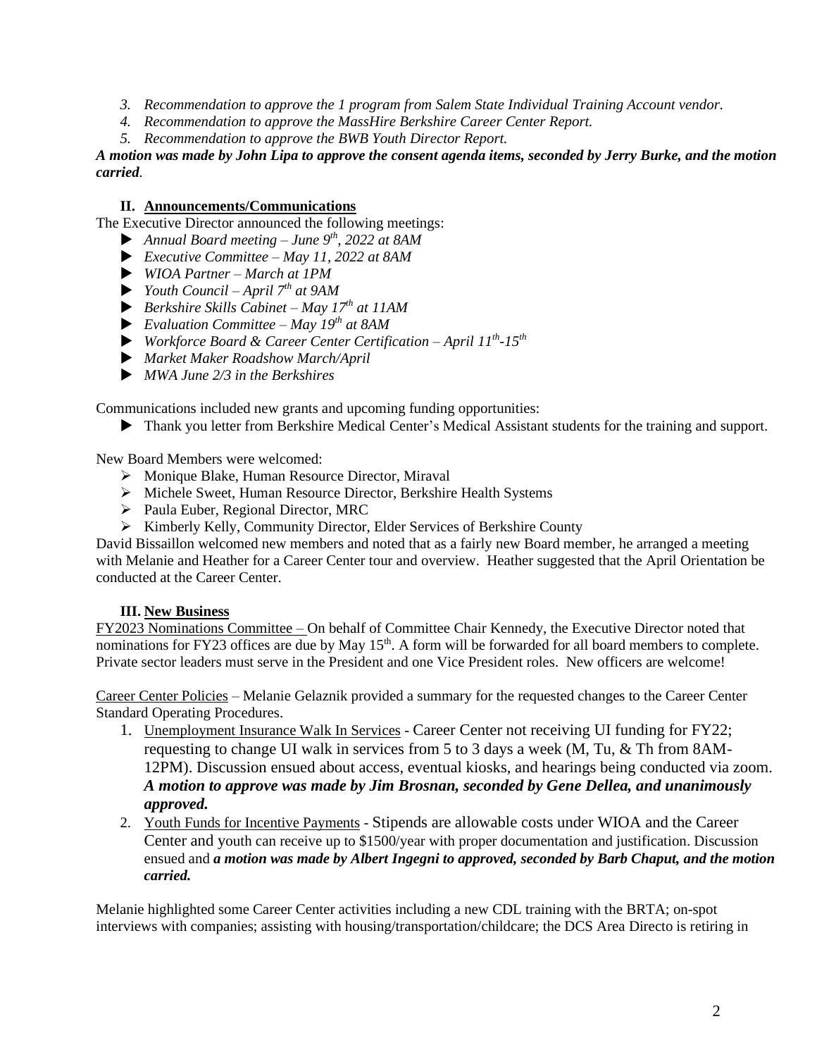- *3. Recommendation to approve the 1 program from Salem State Individual Training Account vendor.*
- *4. Recommendation to approve the MassHire Berkshire Career Center Report.*
- *5. Recommendation to approve the BWB Youth Director Report.*

*A motion was made by John Lipa to approve the consent agenda items, seconded by Jerry Burke, and the motion carried.* 

## **II. Announcements/Communications**

The Executive Director announced the following meetings:

- *Annual Board meeting – June 9th, 2022 at 8AM*
- *Executive Committee – May 11, 2022 at 8AM*
- *WIOA Partner – March at 1PM*
- *Youth Council – April 7th at 9AM*
- *Berkshire Skills Cabinet – May 17th at 11AM*
- *Evaluation Committee – May 19th at 8AM*
- *Workforce Board & Career Center Certification – April 11th -15th*
- *Market Maker Roadshow March/April*
- *MWA June 2/3 in the Berkshires*

Communications included new grants and upcoming funding opportunities:

Thank you letter from Berkshire Medical Center's Medical Assistant students for the training and support.

New Board Members were welcomed:

- ➢ Monique Blake, Human Resource Director, Miraval
- ➢ Michele Sweet, Human Resource Director, Berkshire Health Systems
- ➢ Paula Euber, Regional Director, MRC
- ➢ Kimberly Kelly, Community Director, Elder Services of Berkshire County

David Bissaillon welcomed new members and noted that as a fairly new Board member, he arranged a meeting with Melanie and Heather for a Career Center tour and overview. Heather suggested that the April Orientation be conducted at the Career Center.

### **III. New Business**

FY2023 Nominations Committee – On behalf of Committee Chair Kennedy, the Executive Director noted that nominations for FY23 offices are due by May 15<sup>th</sup>. A form will be forwarded for all board members to complete. Private sector leaders must serve in the President and one Vice President roles. New officers are welcome!

Career Center Policies – Melanie Gelaznik provided a summary for the requested changes to the Career Center Standard Operating Procedures.

- 1. Unemployment Insurance Walk In Services Career Center not receiving UI funding for FY22; requesting to change UI walk in services from 5 to 3 days a week (M, Tu, & Th from 8AM-12PM). Discussion ensued about access, eventual kiosks, and hearings being conducted via zoom. *A motion to approve was made by Jim Brosnan, seconded by Gene Dellea, and unanimously approved.*
- 2. Youth Funds for Incentive Payments Stipends are allowable costs under WIOA and the Career Center and youth can receive up to \$1500/year with proper documentation and justification. Discussion ensued and *a motion was made by Albert Ingegni to approved, seconded by Barb Chaput, and the motion carried.*

Melanie highlighted some Career Center activities including a new CDL training with the BRTA; on-spot interviews with companies; assisting with housing/transportation/childcare; the DCS Area Directo is retiring in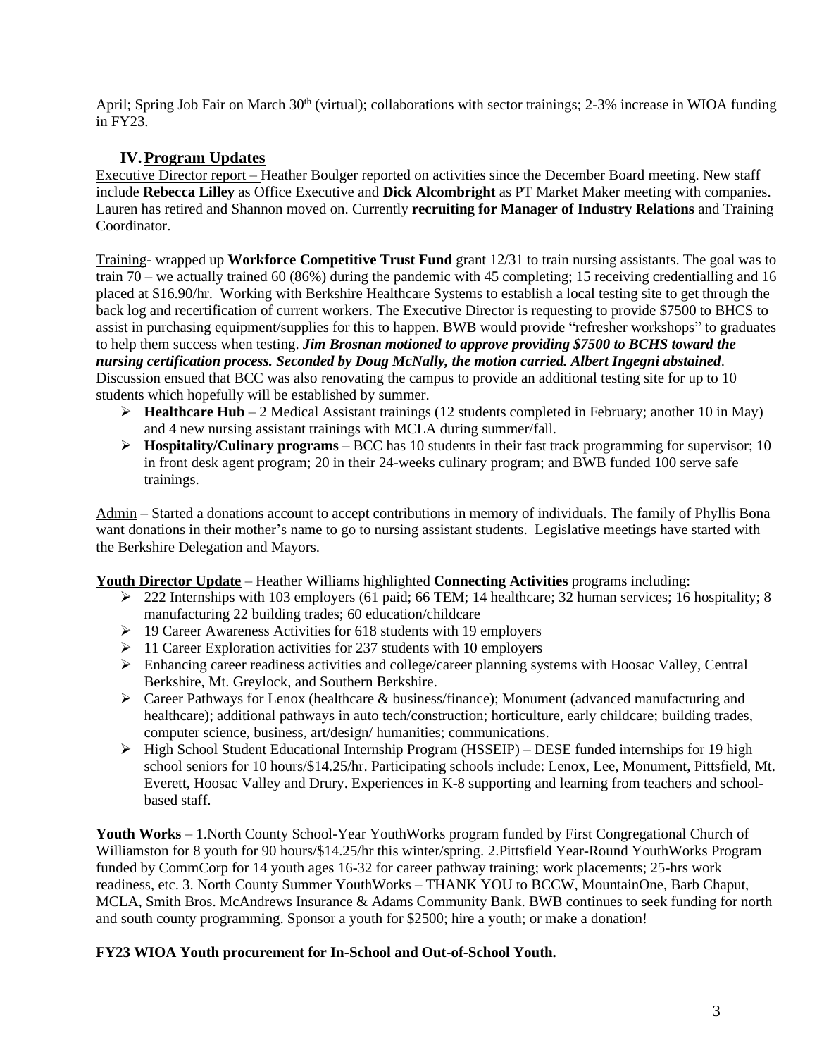April; Spring Job Fair on March 30<sup>th</sup> (virtual); collaborations with sector trainings; 2-3% increase in WIOA funding in FY23.

## **IV.Program Updates**

Executive Director report – Heather Boulger reported on activities since the December Board meeting. New staff include **Rebecca Lilley** as Office Executive and **Dick Alcombright** as PT Market Maker meeting with companies. Lauren has retired and Shannon moved on. Currently **recruiting for Manager of Industry Relations** and Training Coordinator.

Training- wrapped up **Workforce Competitive Trust Fund** grant 12/31 to train nursing assistants. The goal was to train 70 – we actually trained 60 (86%) during the pandemic with 45 completing; 15 receiving credentialling and 16 placed at \$16.90/hr. Working with Berkshire Healthcare Systems to establish a local testing site to get through the back log and recertification of current workers. The Executive Director is requesting to provide \$7500 to BHCS to assist in purchasing equipment/supplies for this to happen. BWB would provide "refresher workshops" to graduates to help them success when testing. *Jim Brosnan motioned to approve providing \$7500 to BCHS toward the nursing certification process. Seconded by Doug McNally, the motion carried. Albert Ingegni abstained*. Discussion ensued that BCC was also renovating the campus to provide an additional testing site for up to 10 students which hopefully will be established by summer.

- ➢ **Healthcare Hub** 2 Medical Assistant trainings (12 students completed in February; another 10 in May) and 4 new nursing assistant trainings with MCLA during summer/fall.
- ➢ **Hospitality/Culinary programs** BCC has 10 students in their fast track programming for supervisor; 10 in front desk agent program; 20 in their 24-weeks culinary program; and BWB funded 100 serve safe trainings.

Admin – Started a donations account to accept contributions in memory of individuals. The family of Phyllis Bona want donations in their mother's name to go to nursing assistant students. Legislative meetings have started with the Berkshire Delegation and Mayors.

**Youth Director Update** – Heather Williams highlighted **Connecting Activities** programs including:

- ➢ 222 Internships with 103 employers (61 paid; 66 TEM; 14 healthcare; 32 human services; 16 hospitality; 8 manufacturing 22 building trades; 60 education/childcare
- ➢ 19 Career Awareness Activities for 618 students with 19 employers
- ➢ 11 Career Exploration activities for 237 students with 10 employers
- $\triangleright$  Enhancing career readiness activities and college/career planning systems with Hoosac Valley, Central Berkshire, Mt. Greylock, and Southern Berkshire.
- $\triangleright$  Career Pathways for Lenox (healthcare & business/finance); Monument (advanced manufacturing and healthcare); additional pathways in auto tech/construction; horticulture, early childcare; building trades, computer science, business, art/design/ humanities; communications.
- ➢ High School Student Educational Internship Program (HSSEIP) DESE funded internships for 19 high school seniors for 10 hours/\$14.25/hr. Participating schools include: Lenox, Lee, Monument, Pittsfield, Mt. Everett, Hoosac Valley and Drury. Experiences in K-8 supporting and learning from teachers and schoolbased staff.

**Youth Works** – 1.North County School-Year YouthWorks program funded by First Congregational Church of Williamston for 8 youth for 90 hours/\$14.25/hr this winter/spring. 2.Pittsfield Year-Round YouthWorks Program funded by CommCorp for 14 youth ages 16-32 for career pathway training; work placements; 25-hrs work readiness, etc. 3. North County Summer YouthWorks – THANK YOU to BCCW, MountainOne, Barb Chaput, MCLA, Smith Bros. McAndrews Insurance & Adams Community Bank. BWB continues to seek funding for north and south county programming. Sponsor a youth for \$2500; hire a youth; or make a donation!

## **FY23 WIOA Youth procurement for In-School and Out-of-School Youth.**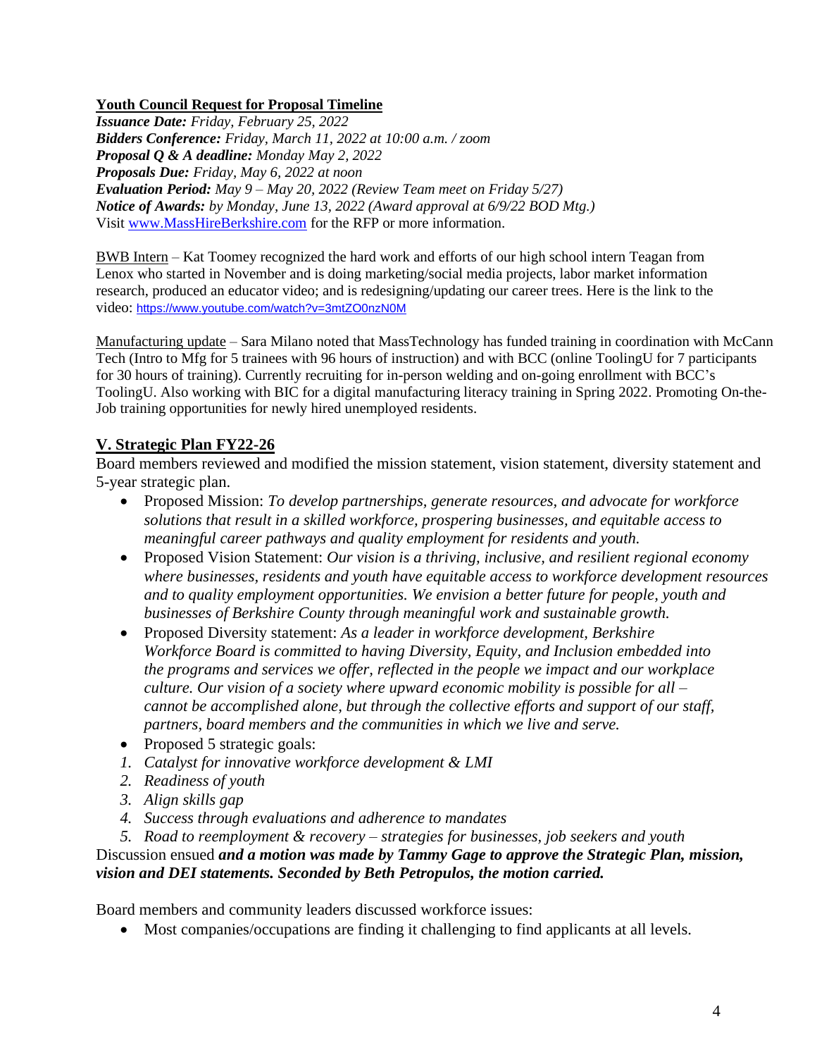## **Youth Council Request for Proposal Timeline**

*Issuance Date: Friday, February 25, 2022 Bidders Conference: Friday, March 11, 2022 at 10:00 a.m. / zoom Proposal Q & A deadline: Monday May 2, 2022 Proposals Due: Friday, May 6, 2022 at noon Evaluation Period: May 9 – May 20, 2022 (Review Team meet on Friday 5/27) Notice of Awards: by Monday, June 13, 2022 (Award approval at 6/9/22 BOD Mtg.)* Visit [www.MassHireBerkshire.com](http://www.masshireberkshire.com/) for the RFP or more information.

BWB Intern – Kat Toomey recognized the hard work and efforts of our high school intern Teagan from Lenox who started in November and is doing marketing/social media projects, labor market information research, produced an educator video; and is redesigning/updating our career trees. Here is the link to the video: <https://www.youtube.com/watch?v=3mtZO0nzN0M>

Manufacturing update – Sara Milano noted that MassTechnology has funded training in coordination with McCann Tech (Intro to Mfg for 5 trainees with 96 hours of instruction) and with BCC (online ToolingU for 7 participants for 30 hours of training). Currently recruiting for in-person welding and on-going enrollment with BCC's ToolingU. Also working with BIC for a digital manufacturing literacy training in Spring 2022. Promoting On-the-Job training opportunities for newly hired unemployed residents.

# **V. Strategic Plan FY22-26**

Board members reviewed and modified the mission statement, vision statement, diversity statement and 5-year strategic plan.

- Proposed Mission: *To develop partnerships, generate resources, and advocate for workforce solutions that result in a skilled workforce, prospering businesses, and equitable access to meaningful career pathways and quality employment for residents and youth.*
- Proposed Vision Statement: *Our vision is a thriving, inclusive, and resilient regional economy where businesses, residents and youth have equitable access to workforce development resources and to quality employment opportunities. We envision a better future for people, youth and businesses of Berkshire County through meaningful work and sustainable growth.*
- Proposed Diversity statement: *As a leader in workforce development, Berkshire Workforce Board is committed to having Diversity, Equity, and Inclusion embedded into the programs and services we offer, reflected in the people we impact and our workplace culture. Our vision of a society where upward economic mobility is possible for all – cannot be accomplished alone, but through the collective efforts and support of our staff, partners, board members and the communities in which we live and serve.*
- Proposed 5 strategic goals:
- *1. Catalyst for innovative workforce development & LMI*
- *2. Readiness of youth*
- *3. Align skills gap*
- *4. Success through evaluations and adherence to mandates*
- *5. Road to reemployment & recovery – strategies for businesses, job seekers and youth*

Discussion ensued *and a motion was made by Tammy Gage to approve the Strategic Plan, mission, vision and DEI statements. Seconded by Beth Petropulos, the motion carried.*

Board members and community leaders discussed workforce issues:

• Most companies/occupations are finding it challenging to find applicants at all levels.